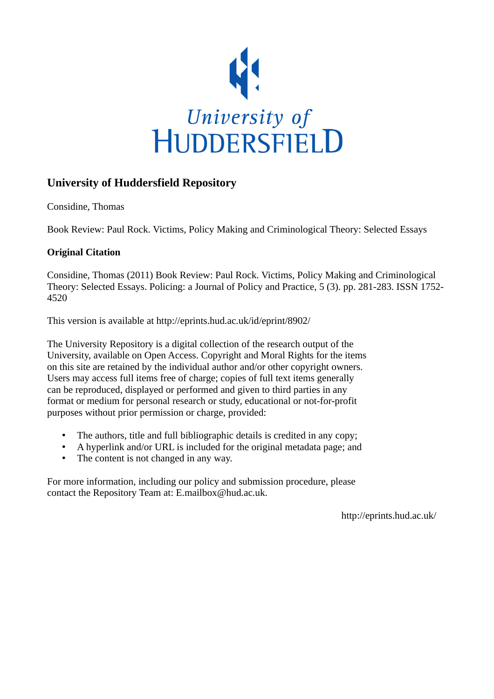

# **University of Huddersfield Repository**

Considine, Thomas

Book Review: Paul Rock. Victims, Policy Making and Criminological Theory: Selected Essays

## **Original Citation**

Considine, Thomas (2011) Book Review: Paul Rock. Victims, Policy Making and Criminological Theory: Selected Essays. Policing: a Journal of Policy and Practice, 5 (3). pp. 281-283. ISSN 1752- 4520

This version is available at http://eprints.hud.ac.uk/id/eprint/8902/

The University Repository is a digital collection of the research output of the University, available on Open Access. Copyright and Moral Rights for the items on this site are retained by the individual author and/or other copyright owners. Users may access full items free of charge; copies of full text items generally can be reproduced, displayed or performed and given to third parties in any format or medium for personal research or study, educational or not-for-profit purposes without prior permission or charge, provided:

- The authors, title and full bibliographic details is credited in any copy;
- A hyperlink and/or URL is included for the original metadata page; and
- The content is not changed in any way.

For more information, including our policy and submission procedure, please contact the Repository Team at: E.mailbox@hud.ac.uk.

http://eprints.hud.ac.uk/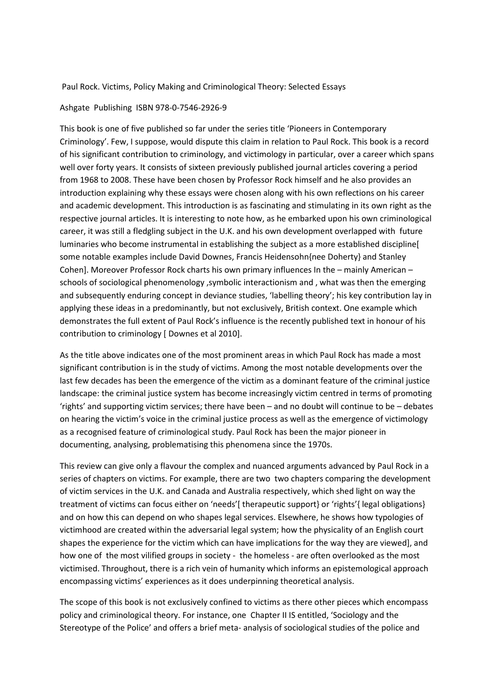#### Paul Rock. Victims, Policy Making and Criminological Theory: Selected Essays

#### Ashgate Publishing ISBN 978-0-7546-2926-9

This book is one of five published so far under the series title 'Pioneers in Contemporary Criminology'. Few, I suppose, would dispute this claim in relation to Paul Rock. This book is a record of his significant contribution to criminology, and victimology in particular, over a career which spans well over forty years. It consists of sixteen previously published journal articles covering a period from 1968 to 2008. These have been chosen by Professor Rock himself and he also provides an introduction explaining why these essays were chosen along with his own reflections on his career and academic development. This introduction is as fascinating and stimulating in its own right as the respective journal articles. It is interesting to note how, as he embarked upon his own criminological career, it was still a fledgling subject in the U.K. and his own development overlapped with future luminaries who become instrumental in establishing the subject as a more established discipline[ some notable examples include David Downes, Francis Heidensohn{nee Doherty} and Stanley Cohen]. Moreover Professor Rock charts his own primary influences In the – mainly American – schools of sociological phenomenology ,symbolic interactionism and , what was then the emerging and subsequently enduring concept in deviance studies, 'labelling theory'; his key contribution lay in applying these ideas in a predominantly, but not exclusively, British context. One example which demonstrates the full extent of Paul Rock's influence is the recently published text in honour of his contribution to criminology [ Downes et al 2010].

As the title above indicates one of the most prominent areas in which Paul Rock has made a most significant contribution is in the study of victims. Among the most notable developments over the last few decades has been the emergence of the victim as a dominant feature of the criminal justice landscape: the criminal justice system has become increasingly victim centred in terms of promoting 'rights' and supporting victim services; there have been – and no doubt will continue to be – debates on hearing the victim's voice in the criminal justice process as well as the emergence of victimology as a recognised feature of criminological study. Paul Rock has been the major pioneer in documenting, analysing, problematising this phenomena since the 1970s.

This review can give only a flavour the complex and nuanced arguments advanced by Paul Rock in a series of chapters on victims. For example, there are two two chapters comparing the development of victim services in the U.K. and Canada and Australia respectively, which shed light on way the treatment of victims can focus either on 'needs'[ therapeutic support} or 'rights'{ legal obligations} and on how this can depend on who shapes legal services. Elsewhere, he shows how typologies of victimhood are created within the adversarial legal system; how the physicality of an English court shapes the experience for the victim which can have implications for the way they are viewed], and how one of the most vilified groups in society - the homeless - are often overlooked as the most victimised. Throughout, there is a rich vein of humanity which informs an epistemological approach encompassing victims' experiences as it does underpinning theoretical analysis.

The scope of this book is not exclusively confined to victims as there other pieces which encompass policy and criminological theory. For instance, one Chapter II IS entitled, 'Sociology and the Stereotype of the Police' and offers a brief meta- analysis of sociological studies of the police and